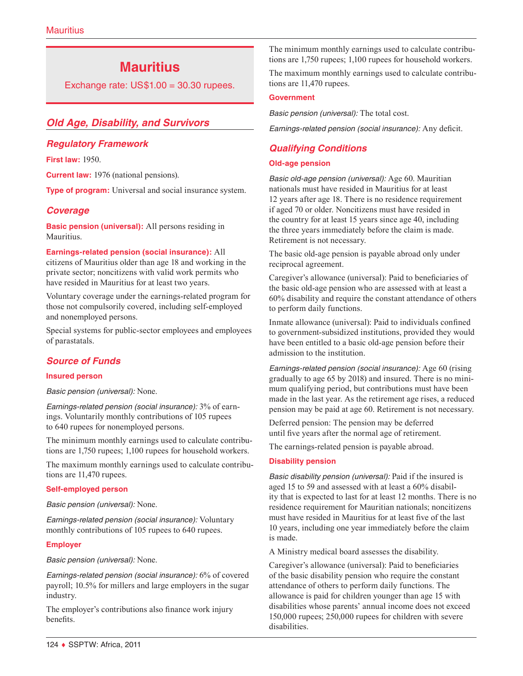# **Mauritius**

Exchange rate: US\$1.00 = 30.30 rupees.

# *Old Age, Disability, and Survivors*

### *Regulatory Framework*

**First law:** 1950.

**Current law:** 1976 (national pensions).

**Type of program:** Universal and social insurance system.

### *Coverage*

**Basic pension (universal):** All persons residing in Mauritius.

**Earnings-related pension (social insurance):** All citizens of Mauritius older than age 18 and working in the private sector; noncitizens with valid work permits who have resided in Mauritius for at least two years.

Voluntary coverage under the earnings-related program for those not compulsorily covered, including self-employed and nonemployed persons.

Special systems for public-sector employees and employees of parastatals.

### *Source of Funds*

#### **Insured person**

*Basic pension (universal):* None.

*Earnings-related pension (social insurance):* 3% of earnings. Voluntarily monthly contributions of 105 rupees to 640 rupees for nonemployed persons.

The minimum monthly earnings used to calculate contributions are 1,750 rupees; 1,100 rupees for household workers.

The maximum monthly earnings used to calculate contributions are 11,470 rupees.

#### **Self-employed person**

*Basic pension (universal):* None.

*Earnings-related pension (social insurance):* Voluntary monthly contributions of 105 rupees to 640 rupees.

#### **Employer**

*Basic pension (universal):* None.

*Earnings-related pension (social insurance):* 6% of covered payroll; 10.5% for millers and large employers in the sugar industry.

The employer's contributions also finance work injury benefits.

The minimum monthly earnings used to calculate contributions are 1,750 rupees; 1,100 rupees for household workers.

The maximum monthly earnings used to calculate contributions are 11,470 rupees.

#### **Government**

*Basic pension (universal):* The total cost.

*Earnings-related pension (social insurance):* Any deficit.

# *Qualifying Conditions*

#### **Old-age pension**

*Basic old-age pension (universal):* Age 60. Mauritian nationals must have resided in Mauritius for at least 12 years after age 18. There is no residence requirement if aged 70 or older. Noncitizens must have resided in the country for at least 15 years since age 40, including the three years immediately before the claim is made. Retirement is not necessary.

The basic old-age pension is payable abroad only under reciprocal agreement.

Caregiver's allowance (universal): Paid to beneficiaries of the basic old-age pension who are assessed with at least a 60% disability and require the constant attendance of others to perform daily functions.

Inmate allowance (universal): Paid to individuals confined to government-subsidized institutions, provided they would have been entitled to a basic old-age pension before their admission to the institution.

*Earnings-related pension (social insurance):* Age 60 (rising gradually to age 65 by 2018) and insured. There is no minimum qualifying period, but contributions must have been made in the last year. As the retirement age rises, a reduced pension may be paid at age 60. Retirement is not necessary.

Deferred pension: The pension may be deferred until five years after the normal age of retirement.

The earnings-related pension is payable abroad.

#### **Disability pension**

*Basic disability pension (universal):* Paid if the insured is aged 15 to 59 and assessed with at least a 60% disability that is expected to last for at least 12 months. There is no residence requirement for Mauritian nationals; noncitizens must have resided in Mauritius for at least five of the last 10 years, including one year immediately before the claim is made.

A Ministry medical board assesses the disability.

Caregiver's allowance (universal): Paid to beneficiaries of the basic disability pension who require the constant attendance of others to perform daily functions. The allowance is paid for children younger than age 15 with disabilities whose parents' annual income does not exceed 150,000 rupees; 250,000 rupees for children with severe disabilities.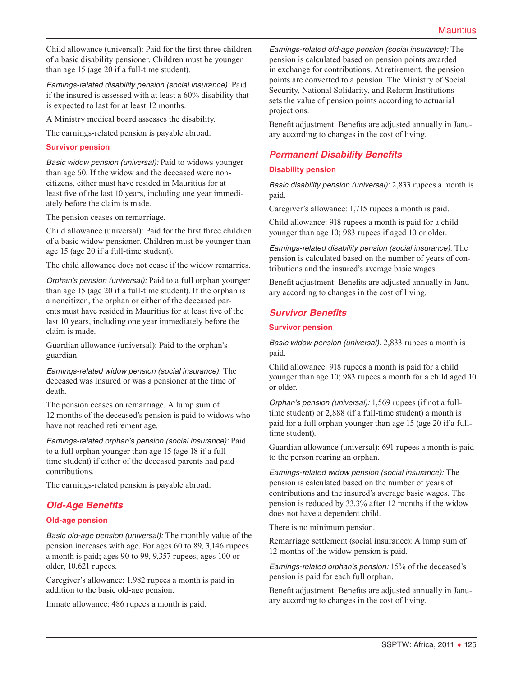Child allowance (universal): Paid for the first three children of a basic disability pensioner. Children must be younger than age 15 (age 20 if a full-time student).

*Earnings-related disability pension (social insurance):* Paid if the insured is assessed with at least a 60% disability that is expected to last for at least 12 months.

A Ministry medical board assesses the disability.

The earnings-related pension is payable abroad.

#### **Survivor pension**

*Basic widow pension (universal):* Paid to widows younger than age 60. If the widow and the deceased were noncitizens, either must have resided in Mauritius for at least five of the last 10 years, including one year immediately before the claim is made.

The pension ceases on remarriage.

Child allowance (universal): Paid for the first three children of a basic widow pensioner. Children must be younger than age 15 (age 20 if a full-time student).

The child allowance does not cease if the widow remarries.

*Orphan's pension (universal):* Paid to a full orphan younger than age 15 (age 20 if a full-time student). If the orphan is a noncitizen, the orphan or either of the deceased parents must have resided in Mauritius for at least five of the last 10 years, including one year immediately before the claim is made.

Guardian allowance (universal): Paid to the orphan's guardian.

*Earnings-related widow pension (social insurance):* The deceased was insured or was a pensioner at the time of death.

The pension ceases on remarriage. A lump sum of 12 months of the deceased's pension is paid to widows who have not reached retirement age.

*Earnings-related orphan's pension (social insurance):* Paid to a full orphan younger than age 15 (age 18 if a fulltime student) if either of the deceased parents had paid contributions.

The earnings-related pension is payable abroad.

### *Old-Age Benefits*

#### **Old-age pension**

*Basic old-age pension (universal):* The monthly value of the pension increases with age. For ages 60 to 89, 3,146 rupees a month is paid; ages 90 to 99, 9,357 rupees; ages 100 or older, 10,621 rupees.

Caregiver's allowance: 1,982 rupees a month is paid in addition to the basic old-age pension.

Inmate allowance: 486 rupees a month is paid.

*Earnings-related old-age pension (social insurance):* The pension is calculated based on pension points awarded in exchange for contributions. At retirement, the pension points are converted to a pension. The Ministry of Social Security, National Solidarity, and Reform Institutions sets the value of pension points according to actuarial projections.

Benefit adjustment: Benefits are adjusted annually in January according to changes in the cost of living.

### *Permanent Disability Benefits*

#### **Disability pension**

*Basic disability pension (universal):* 2,833 rupees a month is paid.

Caregiver's allowance: 1,715 rupees a month is paid.

Child allowance: 918 rupees a month is paid for a child younger than age 10; 983 rupees if aged 10 or older.

*Earnings-related disability pension (social insurance):* The pension is calculated based on the number of years of contributions and the insured's average basic wages.

Benefit adjustment: Benefits are adjusted annually in January according to changes in the cost of living.

### *Survivor Benefits*

#### **Survivor pension**

*Basic widow pension (universal):* 2,833 rupees a month is paid.

Child allowance: 918 rupees a month is paid for a child younger than age 10; 983 rupees a month for a child aged 10 or older.

*Orphan's pension (universal):* 1,569 rupees (if not a fulltime student) or 2,888 (if a full-time student) a month is paid for a full orphan younger than age 15 (age 20 if a fulltime student).

Guardian allowance (universal): 691 rupees a month is paid to the person rearing an orphan.

*Earnings-related widow pension (social insurance):* The pension is calculated based on the number of years of contributions and the insured's average basic wages. The pension is reduced by 33.3% after 12 months if the widow does not have a dependent child.

There is no minimum pension.

Remarriage settlement (social insurance): A lump sum of 12 months of the widow pension is paid.

*Earnings-related orphan's pension:* 15% of the deceased's pension is paid for each full orphan.

Benefit adjustment: Benefits are adjusted annually in January according to changes in the cost of living.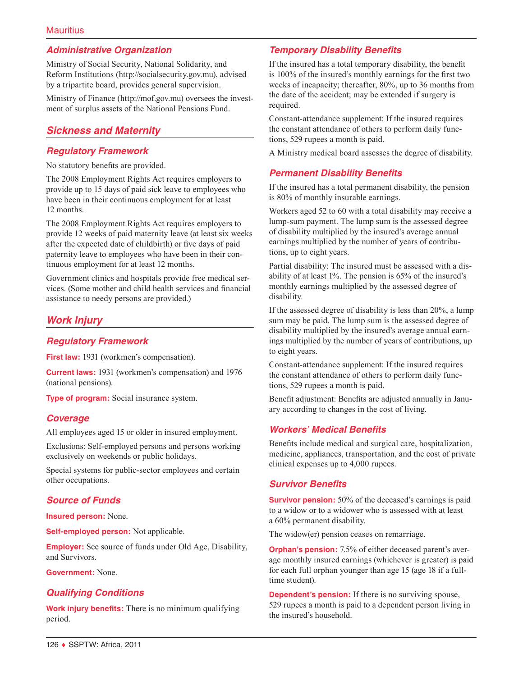# *Administrative Organization*

Ministry of Social Security, National Solidarity, and Reform Institutions [\(http://socialsecurity.gov.mu](http://socialsecurity.gov.mu)), advised by a tripartite board, provides general supervision.

Ministry of Finance ([http://mof.gov.mu\)](http://mof.gov.mu) oversees the investment of surplus assets of the National Pensions Fund.

# *Sickness and Maternity*

### *Regulatory Framework*

No statutory benefits are provided.

The 2008 Employment Rights Act requires employers to provide up to 15 days of paid sick leave to employees who have been in their continuous employment for at least 12 months.

The 2008 Employment Rights Act requires employers to provide 12 weeks of paid maternity leave (at least six weeks after the expected date of childbirth) or five days of paid paternity leave to employees who have been in their continuous employment for at least 12 months.

Government clinics and hospitals provide free medical services. (Some mother and child health services and financial assistance to needy persons are provided.)

# *Work Injury*

#### *Regulatory Framework*

**First law:** 1931 (workmen's compensation).

**Current laws:** 1931 (workmen's compensation) and 1976 (national pensions).

**Type of program:** Social insurance system.

### *Coverage*

All employees aged 15 or older in insured employment.

Exclusions: Self-employed persons and persons working exclusively on weekends or public holidays.

Special systems for public-sector employees and certain other occupations.

### *Source of Funds*

**Insured person:** None.

**Self-employed person:** Not applicable.

**Employer:** See source of funds under Old Age, Disability, and Survivors.

#### **Government:** None.

#### *Qualifying Conditions*

**Work injury benefits:** There is no minimum qualifying period.

### *Temporary Disability Benefits*

If the insured has a total temporary disability, the benefit is 100% of the insured's monthly earnings for the first two weeks of incapacity; thereafter, 80%, up to 36 months from the date of the accident; may be extended if surgery is required.

Constant-attendance supplement: If the insured requires the constant attendance of others to perform daily functions, 529 rupees a month is paid.

A Ministry medical board assesses the degree of disability.

### *Permanent Disability Benefits*

If the insured has a total permanent disability, the pension is 80% of monthly insurable earnings.

Workers aged 52 to 60 with a total disability may receive a lump-sum payment. The lump sum is the assessed degree of disability multiplied by the insured's average annual earnings multiplied by the number of years of contributions, up to eight years.

Partial disability: The insured must be assessed with a disability of at least 1%. The pension is 65% of the insured's monthly earnings multiplied by the assessed degree of disability.

If the assessed degree of disability is less than 20%, a lump sum may be paid. The lump sum is the assessed degree of disability multiplied by the insured's average annual earnings multiplied by the number of years of contributions, up to eight years.

Constant-attendance supplement: If the insured requires the constant attendance of others to perform daily functions, 529 rupees a month is paid.

Benefit adjustment: Benefits are adjusted annually in January according to changes in the cost of living.

#### *Workers' Medical Benefits*

Benefits include medical and surgical care, hospitalization, medicine, appliances, transportation, and the cost of private clinical expenses up to 4,000 rupees.

#### *Survivor Benefits*

**Survivor pension:** 50% of the deceased's earnings is paid to a widow or to a widower who is assessed with at least a 60% permanent disability.

The widow(er) pension ceases on remarriage.

**Orphan's pension:** 7.5% of either deceased parent's average monthly insured earnings (whichever is greater) is paid for each full orphan younger than age 15 (age 18 if a fulltime student).

**Dependent's pension:** If there is no surviving spouse, 529 rupees a month is paid to a dependent person living in the insured's household.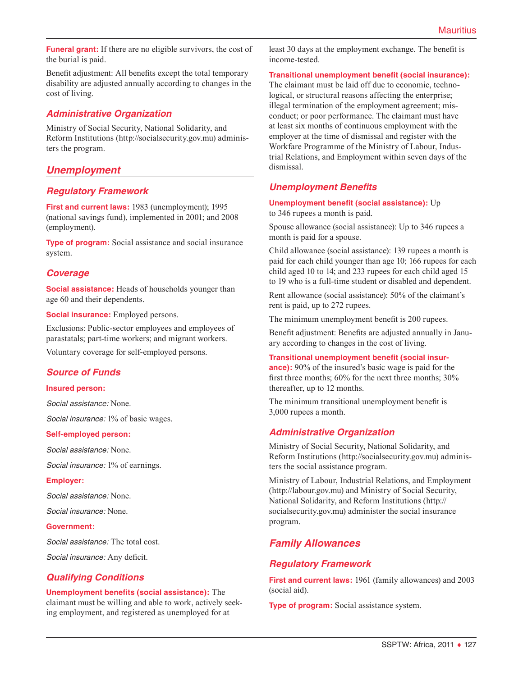**Funeral grant:** If there are no eligible survivors, the cost of the burial is paid.

Benefit adjustment: All benefits except the total temporary disability are adjusted annually according to changes in the cost of living.

### *Administrative Organization*

Ministry of Social Security, National Solidarity, and Reform Institutions [\(http://socialsecurity.gov.mu](http://socialsecurity.gov.mu)) administers the program.

# *Unemployment*

### *Regulatory Framework*

**First and current laws:** 1983 (unemployment); 1995 (national savings fund), implemented in 2001; and 2008 (employment).

**Type of program:** Social assistance and social insurance system.

### *Coverage*

**Social assistance:** Heads of households younger than age 60 and their dependents.

**Social insurance:** Employed persons.

Exclusions: Public-sector employees and employees of parastatals; part-time workers; and migrant workers.

Voluntary coverage for self-employed persons.

#### *Source of Funds*

#### **Insured person:**

*Social assistance:* None.

*Social insurance:* 1% of basic wages.

#### **Self-employed person:**

*Social assistance:* None.

*Social insurance:* 1% of earnings.

#### **Employer:**

*Social assistance:* None.

*Social insurance:* None.

#### **Government:**

*Social assistance:* The total cost.

*Social insurance:* Any deficit.

#### *Qualifying Conditions*

**Unemployment benefits (social assistance):** The claimant must be willing and able to work, actively seeking employment, and registered as unemployed for at

least 30 days at the employment exchange. The benefit is income-tested.

**Transitional unemployment benefit (social insurance):**

The claimant must be laid off due to economic, technological, or structural reasons affecting the enterprise; illegal termination of the employment agreement; misconduct; or poor performance. The claimant must have at least six months of continuous employment with the employer at the time of dismissal and register with the Workfare Programme of the Ministry of Labour, Industrial Relations, and Employment within seven days of the dismissal.

### *Unemployment Benefits*

**Unemployment benefit (social assistance):** Up to 346 rupees a month is paid.

Spouse allowance (social assistance): Up to 346 rupees a month is paid for a spouse.

Child allowance (social assistance): 139 rupees a month is paid for each child younger than age 10; 166 rupees for each child aged 10 to 14; and 233 rupees for each child aged 15 to 19 who is a full-time student or disabled and dependent.

Rent allowance (social assistance): 50% of the claimant's rent is paid, up to 272 rupees.

The minimum unemployment benefit is 200 rupees.

Benefit adjustment: Benefits are adjusted annually in January according to changes in the cost of living.

#### **Transitional unemployment benefit (social insur-**

**ance):** 90% of the insured's basic wage is paid for the first three months; 60% for the next three months; 30% thereafter, up to 12 months.

The minimum transitional unemployment benefit is 3,000 rupees a month.

#### *Administrative Organization*

Ministry of Social Security, National Solidarity, and Reform Institutions [\(http://socialsecurity.gov.mu](http://socialsecurity.gov.mu)) administers the social assistance program.

Ministry of Labour, Industrial Relations, and Employment (<http://labour.gov.mu>) and Ministry of Social Security, National Solidarity, and Reform Institutions ([http://](http://socialsecurity.gov.mu) [socialsecurity.gov.mu\)](http://socialsecurity.gov.mu) administer the social insurance program.

### *Family Allowances*

#### *Regulatory Framework*

**First and current laws:** 1961 (family allowances) and 2003 (social aid).

**Type of program:** Social assistance system.